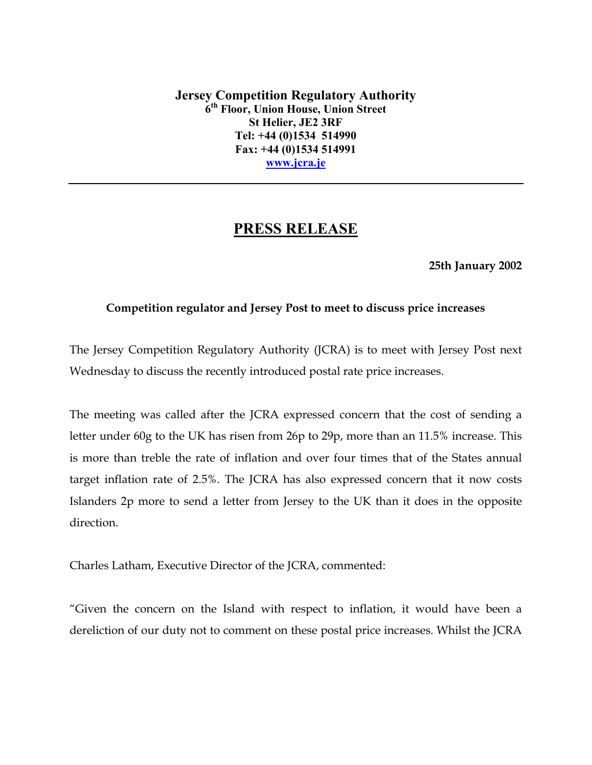**Jersey Competition Regulatory Authority 6th Floor, Union House, Union Street St Helier, JE2 3RF Tel: +44 (0)1534 514990 Fax: +44 (0)1534 514991 www.jcra.je**

# **PRESS RELEASE**

#### **25th January 2002**

#### **Competition regulator and Jersey Post to meet to discuss price increases**

The Jersey Competition Regulatory Authority (JCRA) is to meet with Jersey Post next Wednesday to discuss the recently introduced postal rate price increases.

The meeting was called after the JCRA expressed concern that the cost of sending a letter under 60g to the UK has risen from 26p to 29p, more than an 11.5% increase. This is more than treble the rate of inflation and over four times that of the States annual target inflation rate of 2.5%. The JCRA has also expressed concern that it now costs Islanders 2p more to send a letter from Jersey to the UK than it does in the opposite direction.

Charles Latham, Executive Director of the JCRA, commented:

"Given the concern on the Island with respect to inflation, it would have been a dereliction of our duty not to comment on these postal price increases. Whilst the JCRA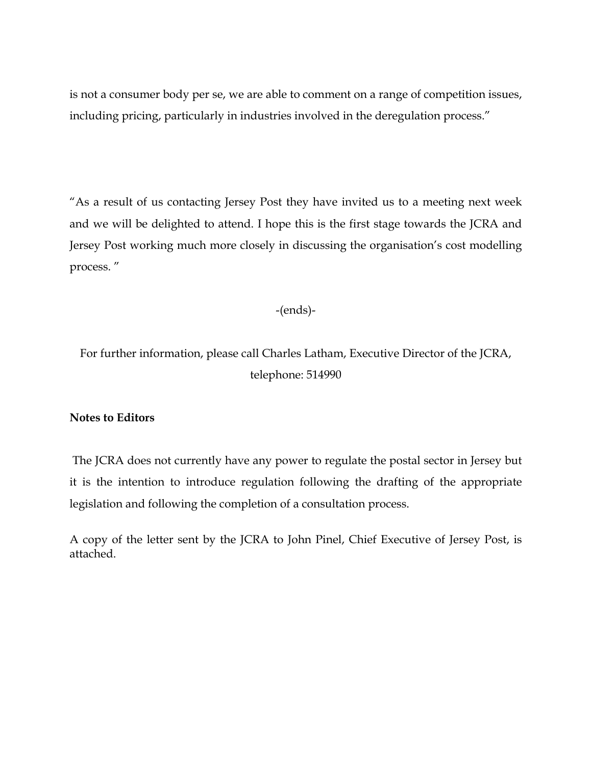is not a consumer body per se, we are able to comment on a range of competition issues, including pricing, particularly in industries involved in the deregulation process."

"As a result of us contacting Jersey Post they have invited us to a meeting next week and we will be delighted to attend. I hope this is the first stage towards the JCRA and Jersey Post working much more closely in discussing the organisation's cost modelling process. "

-(ends)-

For further information, please call Charles Latham, Executive Director of the JCRA, telephone: 514990

### **Notes to Editors**

 The JCRA does not currently have any power to regulate the postal sector in Jersey but it is the intention to introduce regulation following the drafting of the appropriate legislation and following the completion of a consultation process.

A copy of the letter sent by the JCRA to John Pinel, Chief Executive of Jersey Post, is attached.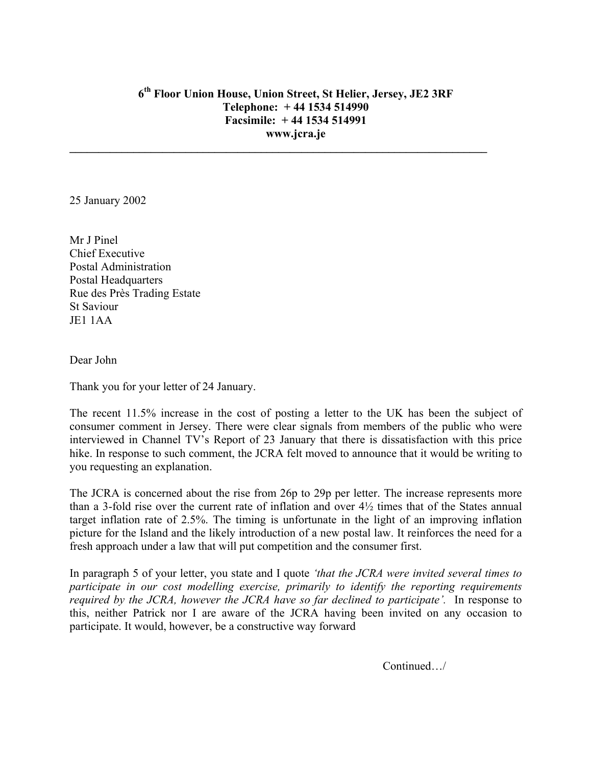## **6th Floor Union House, Union Street, St Helier, Jersey, JE2 3RF Telephone: + 44 1534 514990 Facsimile: + 44 1534 514991 www.jcra.je**

**\_\_\_\_\_\_\_\_\_\_\_\_\_\_\_\_\_\_\_\_\_\_\_\_\_\_\_\_\_\_\_\_\_\_\_\_\_\_\_\_\_\_\_\_\_\_\_\_\_\_\_\_\_\_\_\_\_\_\_\_\_\_\_\_\_\_\_\_\_\_\_\_** 

25 January 2002

Mr J Pinel Chief Executive Postal Administration Postal Headquarters Rue des Près Trading Estate St Saviour JE1 1AA

Dear John

Thank you for your letter of 24 January.

The recent 11.5% increase in the cost of posting a letter to the UK has been the subject of consumer comment in Jersey. There were clear signals from members of the public who were interviewed in Channel TV's Report of 23 January that there is dissatisfaction with this price hike. In response to such comment, the JCRA felt moved to announce that it would be writing to you requesting an explanation.

The JCRA is concerned about the rise from 26p to 29p per letter. The increase represents more than a 3-fold rise over the current rate of inflation and over 4½ times that of the States annual target inflation rate of 2.5%. The timing is unfortunate in the light of an improving inflation picture for the Island and the likely introduction of a new postal law. It reinforces the need for a fresh approach under a law that will put competition and the consumer first.

In paragraph 5 of your letter, you state and I quote *'that the JCRA were invited several times to participate in our cost modelling exercise, primarily to identify the reporting requirements required by the JCRA, however the JCRA have so far declined to participate'.* In response to this, neither Patrick nor I are aware of the JCRA having been invited on any occasion to participate. It would, however, be a constructive way forward

Continued…/